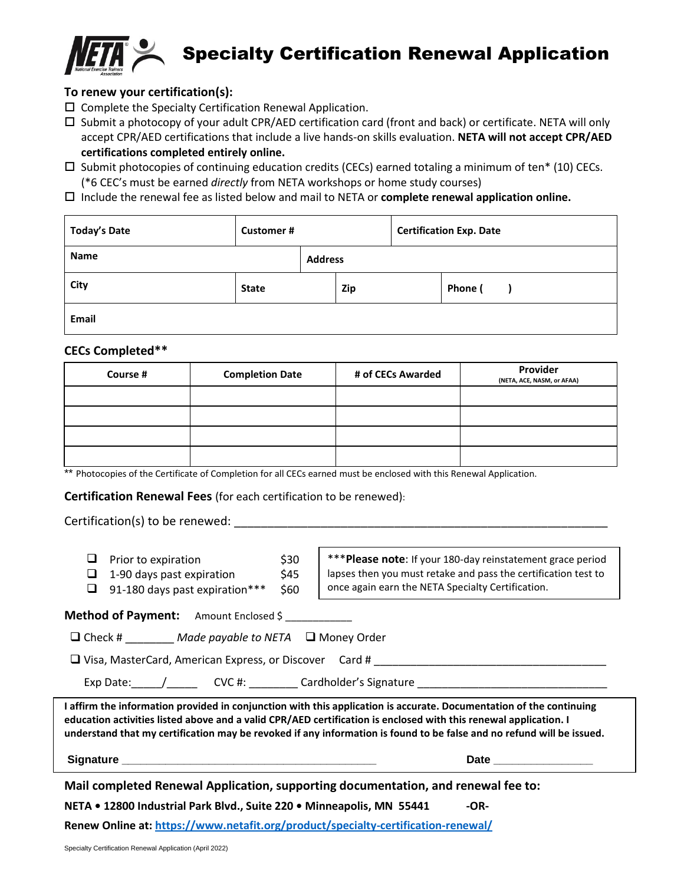

Specialty Certification Renewal Application

### **To renew your certification(s):**

- $\square$  Complete the Specialty Certification Renewal Application.
- $\square$  Submit a photocopy of your adult CPR/AED certification card (front and back) or certificate. NETA will only accept CPR/AED certifications that include a live hands-on skills evaluation. **NETA will not accept CPR/AED certifications completed entirely online.**
- $\square$  Submit photocopies of continuing education credits (CECs) earned totaling a minimum of ten\* (10) CECs. (\*6 CEC's must be earned *directly* from NETA workshops or home study courses)
- Include the renewal fee as listed below and mail to NETA or **complete renewal application online.**

| <b>Today's Date</b> | <b>Customer#</b> |                |            | <b>Certification Exp. Date</b> |         |  |
|---------------------|------------------|----------------|------------|--------------------------------|---------|--|
| <b>Name</b>         |                  | <b>Address</b> |            |                                |         |  |
| City                | <b>State</b>     |                | <b>Zip</b> |                                | Phone ( |  |
| Email               |                  |                |            |                                |         |  |

#### **CECs Completed\*\***

| Course # | <b>Completion Date</b> | # of CECs Awarded | Provider<br>(NETA, ACE, NASM, or AFAA) |
|----------|------------------------|-------------------|----------------------------------------|
|          |                        |                   |                                        |
|          |                        |                   |                                        |
|          |                        |                   |                                        |
|          |                        |                   |                                        |

\*\* Photocopies of the Certificate of Completion for all CECs earned must be enclosed with this Renewal Application.

**Certification Renewal Fees** (for each certification to be renewed):

#### Certification(s) to be renewed: \_\_\_\_\_\_\_\_\_\_\_\_\_\_\_\_\_\_\_\_\_\_\_\_\_\_\_\_\_\_\_\_\_\_\_\_\_\_\_\_\_\_\_\_\_\_\_\_\_\_\_\_\_\_\_\_

- $\Box$  Prior to expiration  $\Box$  \$30
- $\Box$  1-90 days past expiration \$45
- $\Box$  91-180 days past expiration\*\*\* \$60

\*\*\***Please note**: If your 180-day reinstatement grace period lapses then you must retake and pass the certification test to once again earn the NETA Specialty Certification.

**Method of Payment:** Amount Enclosed \$

❑ Check # \_\_\_\_\_\_\_\_ *Made payable to NETA* ❑ Money Order

❑ Visa, MasterCard, American Express, or Discover Card # \_\_\_\_\_\_\_\_\_\_\_\_\_\_\_\_\_\_\_\_\_\_\_\_\_\_\_\_\_\_\_\_\_\_\_\_\_\_

Exp Date:  $\frac{1}{2}$   $\frac{1}{2}$   $\frac{1}{2}$   $\frac{1}{2}$   $\frac{1}{2}$   $\frac{1}{2}$   $\frac{1}{2}$   $\frac{1}{2}$   $\frac{1}{2}$   $\frac{1}{2}$   $\frac{1}{2}$   $\frac{1}{2}$   $\frac{1}{2}$   $\frac{1}{2}$   $\frac{1}{2}$   $\frac{1}{2}$   $\frac{1}{2}$   $\frac{1}{2}$   $\frac{1}{2}$   $\frac{1}{2}$   $\frac{1}{2}$ 

**I affirm the information provided in conjunction with this application is accurate. Documentation of the continuing education activities listed above and a valid CPR/AED certification is enclosed with this renewal application. I understand that my certification may be revoked if any information is found to be false and no refund will be issued.** 

**Signature Date 20 All 20 All 20 All 20 All 20 All 20 All 20 All 20 All 20 All 20 All 20 All 20 All 20 All 20** 

**Mail completed Renewal Application, supporting documentation, and renewal fee to:**

**NETA • 12800 Industrial Park Blvd., Suite 220 • Minneapolis, MN 55441 -OR-**

**Renew Online at:<https://www.netafit.org/product/specialty-certification-renewal/>**